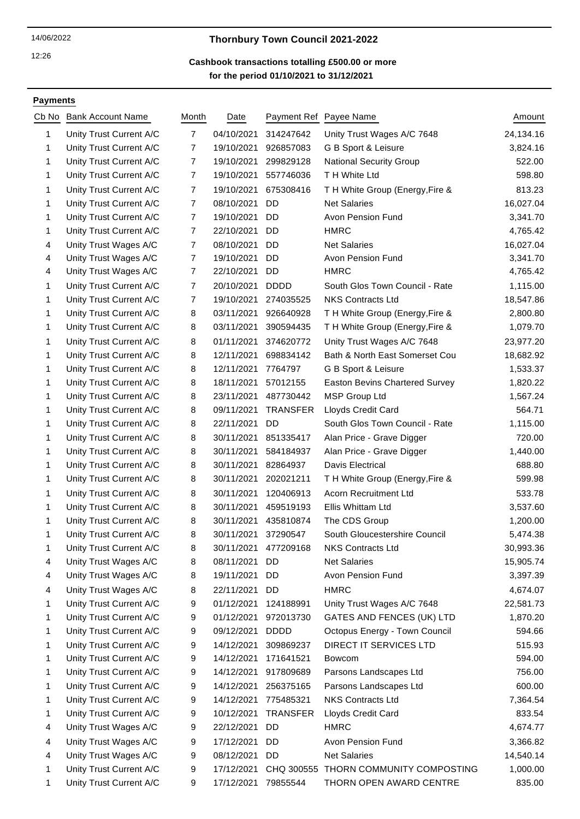#### 12:26

# 14/06/2022 **Thornbury Town Council 2021-2022**

## **for the period 01/10/2021 to 31/12/2021 Cashbook transactions totalling £500.00 or more**

### **Payments**

| Cb No | <b>Bank Account Name</b> | Month          | Date       |                      | Payment Ref Payee Name                | Amount    |
|-------|--------------------------|----------------|------------|----------------------|---------------------------------------|-----------|
| 1     | Unity Trust Current A/C  | $\overline{7}$ | 04/10/2021 | 314247642            | Unity Trust Wages A/C 7648            | 24,134.16 |
| 1     | Unity Trust Current A/C  | 7              | 19/10/2021 | 926857083            | G B Sport & Leisure                   | 3,824.16  |
| 1     | Unity Trust Current A/C  | $\overline{7}$ | 19/10/2021 | 299829128            | <b>National Security Group</b>        | 522.00    |
| 1     | Unity Trust Current A/C  | 7              | 19/10/2021 | 557746036            | T H White Ltd                         | 598.80    |
| 1     | Unity Trust Current A/C  | 7              | 19/10/2021 | 675308416            | T H White Group (Energy, Fire &       | 813.23    |
| 1     | Unity Trust Current A/C  | $\overline{7}$ | 08/10/2021 | <b>DD</b>            | <b>Net Salaries</b>                   | 16,027.04 |
| 1     | Unity Trust Current A/C  | 7              | 19/10/2021 | DD                   | Avon Pension Fund                     | 3,341.70  |
| 1     | Unity Trust Current A/C  | $\overline{7}$ | 22/10/2021 | DD                   | <b>HMRC</b>                           | 4,765.42  |
| 4     | Unity Trust Wages A/C    | $\overline{7}$ | 08/10/2021 | <b>DD</b>            | <b>Net Salaries</b>                   | 16,027.04 |
| 4     | Unity Trust Wages A/C    | $\overline{7}$ | 19/10/2021 | <b>DD</b>            | Avon Pension Fund                     | 3,341.70  |
| 4     | Unity Trust Wages A/C    | $\overline{7}$ | 22/10/2021 | DD                   | <b>HMRC</b>                           | 4,765.42  |
| 1     | Unity Trust Current A/C  | 7              | 20/10/2021 | <b>DDDD</b>          | South Glos Town Council - Rate        | 1,115.00  |
| 1     | Unity Trust Current A/C  | 7              | 19/10/2021 | 274035525            | <b>NKS Contracts Ltd</b>              | 18,547.86 |
| 1     | Unity Trust Current A/C  | 8              | 03/11/2021 | 926640928            | TH White Group (Energy, Fire &        | 2,800.80  |
| 1     | Unity Trust Current A/C  | 8              | 03/11/2021 | 390594435            | TH White Group (Energy, Fire &        | 1,079.70  |
| 1     | Unity Trust Current A/C  | 8              | 01/11/2021 | 374620772            | Unity Trust Wages A/C 7648            | 23,977.20 |
| 1     | Unity Trust Current A/C  | 8              | 12/11/2021 | 698834142            | Bath & North East Somerset Cou        | 18,682.92 |
| 1     | Unity Trust Current A/C  | 8              | 12/11/2021 | 7764797              | G B Sport & Leisure                   | 1,533.37  |
| 1     | Unity Trust Current A/C  | 8              | 18/11/2021 | 57012155             | <b>Easton Bevins Chartered Survey</b> | 1,820.22  |
| 1     | Unity Trust Current A/C  | 8              | 23/11/2021 | 487730442            | <b>MSP Group Ltd</b>                  | 1,567.24  |
| 1     | Unity Trust Current A/C  | 8              | 09/11/2021 | <b>TRANSFER</b>      | Lloyds Credit Card                    | 564.71    |
| 1     | Unity Trust Current A/C  | 8              | 22/11/2021 | DD                   | South Glos Town Council - Rate        | 1,115.00  |
| 1     | Unity Trust Current A/C  | 8              | 30/11/2021 | 851335417            | Alan Price - Grave Digger             | 720.00    |
| 1     | Unity Trust Current A/C  | 8              | 30/11/2021 | 584184937            | Alan Price - Grave Digger             | 1,440.00  |
| 1     | Unity Trust Current A/C  | 8              | 30/11/2021 | 82864937             | Davis Electrical                      | 688.80    |
| 1     | Unity Trust Current A/C  | 8              | 30/11/2021 | 202021211            | TH White Group (Energy, Fire &        | 599.98    |
| 1     | Unity Trust Current A/C  | 8              | 30/11/2021 | 120406913            | <b>Acorn Recruitment Ltd</b>          | 533.78    |
| 1     | Unity Trust Current A/C  | 8              | 30/11/2021 | 459519193            | Ellis Whittam Ltd                     | 3,537.60  |
| 1     | Unity Trust Current A/C  | 8              | 30/11/2021 | 435810874            | The CDS Group                         | 1,200.00  |
| 1     | Unity Trust Current A/C  | 8              | 30/11/2021 | 37290547             | South Gloucestershire Council         | 5,474.38  |
|       | Unity Trust Current A/C  | 8              |            | 30/11/2021 477209168 | <b>NKS Contracts Ltd</b>              | 30,993.36 |
| 4     | Unity Trust Wages A/C    | 8              | 08/11/2021 | DD                   | <b>Net Salaries</b>                   | 15,905.74 |
| 4     | Unity Trust Wages A/C    | 8              | 19/11/2021 | DD                   | Avon Pension Fund                     | 3,397.39  |
| 4     | Unity Trust Wages A/C    | 8              | 22/11/2021 | DD                   | <b>HMRC</b>                           | 4,674.07  |
| 1     | Unity Trust Current A/C  | 9              | 01/12/2021 | 124188991            | Unity Trust Wages A/C 7648            | 22,581.73 |
| 1     | Unity Trust Current A/C  | 9              | 01/12/2021 | 972013730            | GATES AND FENCES (UK) LTD             | 1,870.20  |
| 1     | Unity Trust Current A/C  | 9              | 09/12/2021 | <b>DDDD</b>          | Octopus Energy - Town Council         | 594.66    |
| 1     | Unity Trust Current A/C  | 9              | 14/12/2021 | 309869237            | DIRECT IT SERVICES LTD                | 515.93    |
| 1     | Unity Trust Current A/C  | 9              | 14/12/2021 | 171641521            | <b>Bowcom</b>                         | 594.00    |
| 1     | Unity Trust Current A/C  | 9              | 14/12/2021 | 917809689            | Parsons Landscapes Ltd                | 756.00    |
| 1     | Unity Trust Current A/C  | 9              | 14/12/2021 | 256375165            | Parsons Landscapes Ltd                | 600.00    |
| 1     | Unity Trust Current A/C  | 9              | 14/12/2021 | 775485321            | <b>NKS Contracts Ltd</b>              | 7,364.54  |
| 1     | Unity Trust Current A/C  | 9              | 10/12/2021 | <b>TRANSFER</b>      | Lloyds Credit Card                    | 833.54    |
| 4     | Unity Trust Wages A/C    | 9              | 22/12/2021 | DD                   | <b>HMRC</b>                           | 4,674.77  |
| 4     | Unity Trust Wages A/C    | 9              | 17/12/2021 | DD.                  | Avon Pension Fund                     | 3,366.82  |
| 4     | Unity Trust Wages A/C    | 9              | 08/12/2021 | DD.                  | <b>Net Salaries</b>                   | 14,540.14 |
| 1     | Unity Trust Current A/C  | 9              | 17/12/2021 |                      | CHQ 300555 THORN COMMUNITY COMPOSTING | 1,000.00  |
| 1     | Unity Trust Current A/C  | 9              | 17/12/2021 | 79855544             | THORN OPEN AWARD CENTRE               | 835.00    |